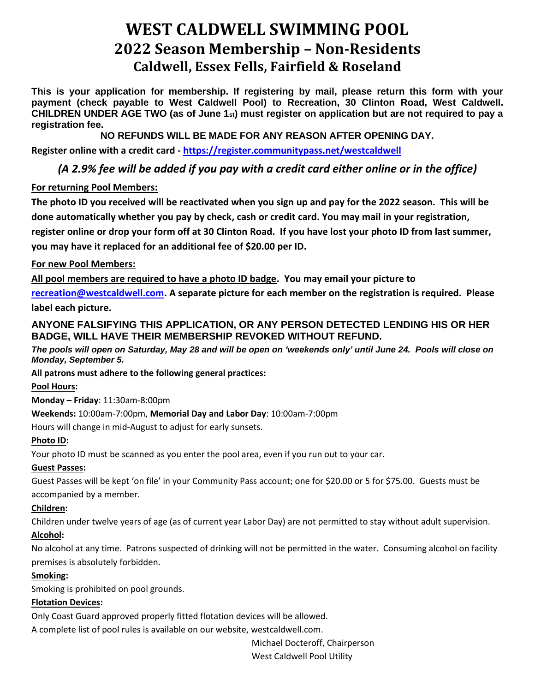# **WEST CALDWELL SWIMMING POOL 2022 Season Membership – Non-Residents Caldwell, Essex Fells, Fairfield & Roseland**

**This is your application for membership. If registering by mail, please return this form with your payment (check payable to West Caldwell Pool) to Recreation, 30 Clinton Road, West Caldwell. CHILDREN UNDER AGE TWO (as of June 1st) must register on application but are not required to pay a registration fee.** 

**NO REFUNDS WILL BE MADE FOR ANY REASON AFTER OPENING DAY.**

**Register online with a credit card - [https://register.communitypass.net/westcaldwell](https://register.communitypass.net/index.cfm)**

## *(A 2.9% fee will be added if you pay with a credit card either online or in the office)*

### **For returning Pool Members:**

**The photo ID you received will be reactivated when you sign up and pay for the 2022 season. This will be done automatically whether you pay by check, cash or credit card. You may mail in your registration, register online or drop your form off at 30 Clinton Road. If you have lost your photo ID from last summer, you may have it replaced for an additional fee of \$20.00 per ID.** 

### **For new Pool Members:**

**All pool members are required to have a photo ID badge. You may email your picture to** 

**[recreation@westcaldwell.com.](mailto:recreation@westcaldwell.com) A separate picture for each member on the registration is required. Please label each picture.**

### **ANYONE FALSIFYING THIS APPLICATION, OR ANY PERSON DETECTED LENDING HIS OR HER BADGE, WILL HAVE THEIR MEMBERSHIP REVOKED WITHOUT REFUND.**

*The pools will open on Saturday, May 28 and will be open on 'weekends only' until June 24. Pools will close on Monday, September 5.*

### **All patrons must adhere to the following general practices:**

### **Pool Hours:**

**Monday – Friday**: 11:30am-8:00pm

### **Weekends:** 10:00am-7:00pm, **Memorial Day and Labor Day**: 10:00am-7:00pm

Hours will change in mid-August to adjust for early sunsets.

### **Photo ID:**

Your photo ID must be scanned as you enter the pool area, even if you run out to your car.

### **Guest Passes:**

Guest Passes will be kept 'on file' in your Community Pass account; one for \$20.00 or 5 for \$75.00. Guests must be accompanied by a member.

### **Children:**

Children under twelve years of age (as of current year Labor Day) are not permitted to stay without adult supervision.

### **Alcohol:**

No alcohol at any time. Patrons suspected of drinking will not be permitted in the water. Consuming alcohol on facility premises is absolutely forbidden.

### **Smoking:**

Smoking is prohibited on pool grounds.

### **Flotation Devices:**

Only Coast Guard approved properly fitted flotation devices will be allowed.

A complete list of pool rules is available on our website, westcaldwell.com.

Michael Docteroff, Chairperson

West Caldwell Pool Utility